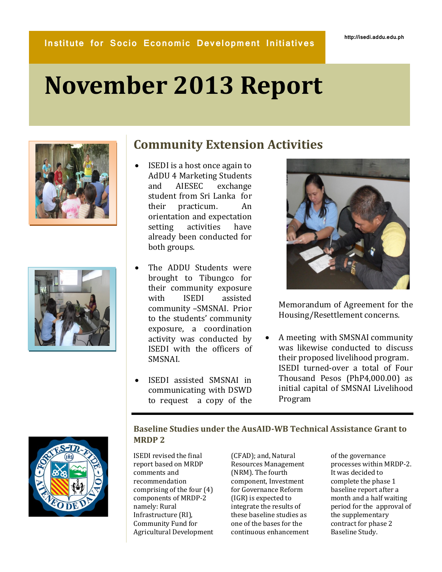# **November 2013 Report**



## **Community Extension Activities**

- ISEDI is a host once again to AdDU 4 Marketing Students and AIESEC exchange student from Sri Lanka for their practicum. An orientation and expectation setting activities have already been conducted for both groups.
- The ADDU Students were brought to Tibungco for their community exposure with ISEDI assisted community –SMSNAI. Prior to the students' community exposure, a coordination activity was conducted by ISEDI with the officers of SMSNAI.
- ISEDI assisted SMSNAI in communicating with DSWD to request a copy of the



Memorandum of Agreement for the Housing/Resettlement concerns.

 A meeting with SMSNAI community was likewise conducted to discuss their proposed livelihood program. ISEDI turned-over a total of Four Thousand Pesos (PhP4,000.00) as initial capital of SMSNAI Livelihood Program



### **Baseline Studies under the AusAID-WB Technical Assistance Grant to MRDP 2**

ISEDI revised the final report based on MRDP comments and recommendation comprising of the four (4) components of MRDP-2 namely: Rural Infrastructure (RI), Community Fund for Agricultural Development (CFAD); and, Natural Resources Management (NRM). The fourth component, Investment for Governance Reform (IGR) is expected to integrate the results of these baseline studies as one of the bases for the continuous enhancement

of the governance processes within MRDP-2. It was decided to complete the phase 1 baseline report after a month and a half waiting period for the approval of the supplementary contract for phase 2 Baseline Study.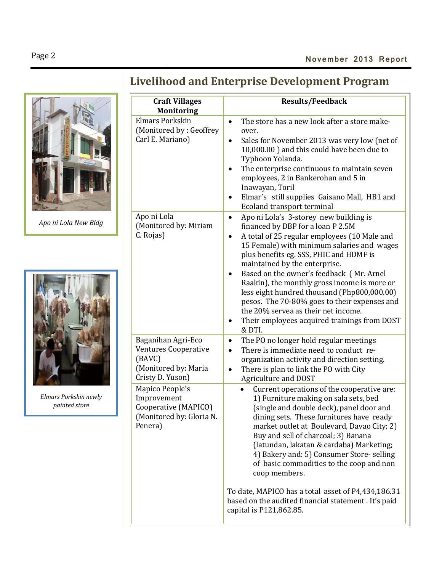# **Livelihood and Enterprise Development Program**



*Apo ni Lola New Bldg*



*Elmars Porkskin newly painted store*

| <b>Craft Villages</b><br><b>Monitoring</b>                                                              | <b>Results/Feedback</b>                                                                                                                                                                                                                                                                                                                                                                                                                                                                                                                                                          |
|---------------------------------------------------------------------------------------------------------|----------------------------------------------------------------------------------------------------------------------------------------------------------------------------------------------------------------------------------------------------------------------------------------------------------------------------------------------------------------------------------------------------------------------------------------------------------------------------------------------------------------------------------------------------------------------------------|
| <b>Elmars Porkskin</b><br>(Monitored by: Geoffrey)<br>Carl E. Mariano)                                  | The store has a new look after a store make-<br>$\bullet$<br>over.<br>Sales for November 2013 was very low (net of<br>10,000.00) and this could have been due to<br>Typhoon Yolanda.<br>The enterprise continuous to maintain seven<br>employees, 2 in Bankerohan and 5 in<br>Inawayan, Toril<br>Elmar's still supplies Gaisano Mall, HB1 and<br>Ecoland transport terminal                                                                                                                                                                                                      |
| Apo ni Lola<br>(Monitored by: Miriam<br>C. Rojas)                                                       | Apo ni Lola's 3-storey new building is<br>$\bullet$<br>financed by DBP for a loan P 2.5M<br>A total of 25 regular employees (10 Male and<br>٠<br>15 Female) with minimum salaries and wages<br>plus benefits eg. SSS, PHIC and HDMF is<br>maintained by the enterprise.<br>Based on the owner's feedback (Mr. Arnel<br>Raakin), the monthly gross income is more or<br>less eight hundred thousand (Php800,000.00)<br>pesos. The 70-80% goes to their expenses and<br>the 20% servea as their net income.<br>Their employees acquired trainings from DOST<br>$\bullet$<br>& DTI. |
| Baganihan Agri-Eco<br><b>Ventures Cooperative</b><br>(BAVC)<br>(Monitored by: Maria<br>Cristy D. Yuson) | The PO no longer hold regular meetings<br>$\bullet$<br>There is immediate need to conduct re-<br>$\bullet$<br>organization activity and direction setting.<br>There is plan to link the PO with City<br>Agriculture and DOST                                                                                                                                                                                                                                                                                                                                                     |
| Mapico People's<br>Improvement<br>Cooperative (MAPICO)<br>(Monitored by: Gloria N.<br>Penera)           | Current operations of the cooperative are:<br>$\bullet$<br>1) Furniture making on sala sets, bed<br>(single and double deck), panel door and<br>dining sets. These furnitures have ready<br>market outlet at Boulevard, Davao City; 2)<br>Buy and sell of charcoal; 3) Banana<br>(latundan, lakatan & cardaba) Marketing;<br>4) Bakery and: 5) Consumer Store-selling<br>of basic commodities to the coop and non<br>coop members.                                                                                                                                               |
|                                                                                                         | To date, MAPICO has a total asset of P4,434,186.31<br>based on the audited financial statement . It's paid<br>capital is P121,862.85.                                                                                                                                                                                                                                                                                                                                                                                                                                            |

The coop has employed a total of 20 coop and non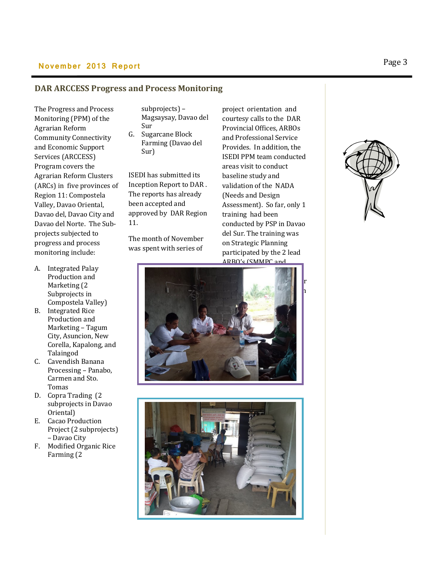## **November 2013 Report Page 3**

#### **DAR ARCCESS Progress and Process Monitoring**

The Progress and Process Monitoring (PPM) of the Agrarian Reform Community Connectivity and Economic Support Services (ARCCESS) Program covers the Agrarian Reform Clusters (ARCs) in five provinces of Region 11: Compostela Valley, Davao Oriental, Davao del, Davao City and Davao del Norte. The Subprojects subjected to progress and process monitoring include:

- A. Integrated Palay Production and Marketing (2 Subprojects in Compostela Valley)
- B. Integrated Rice Production and Marketing – Tagum City, Asuncion, New Corella, Kapalong, and Talaingod
- C. Cavendish Banana Processing – Panabo, Carmen and Sto. Tomas
- D. Copra Trading (2 subprojects in Davao Oriental)
- E. Cacao Production Project (2 subprojects) – Davao City
- F. Modified Organic Rice Farming (2

subprojects) – Magsaysay, Davao del Sur

G. Sugarcane Block Farming (Davao del Sur)

ISEDI has submitted its Inception Report to DAR . The reports has already been accepted and approved by DAR Region 11.

The month of November was spent with series of

project orientation and courtesy calls to the DAR Provincial Offices, ARBOs and Professional Service Provides. In addition, the ISEDI PPM team conducted areas visit to conduct baseline study and validation of the NADA (Needs and Design Assessment). So far, only 1 training had been conducted by PSP in Davao del Sur. The training was on Strategic Planning participated by the 2 lead ARBO's (SMMPC and